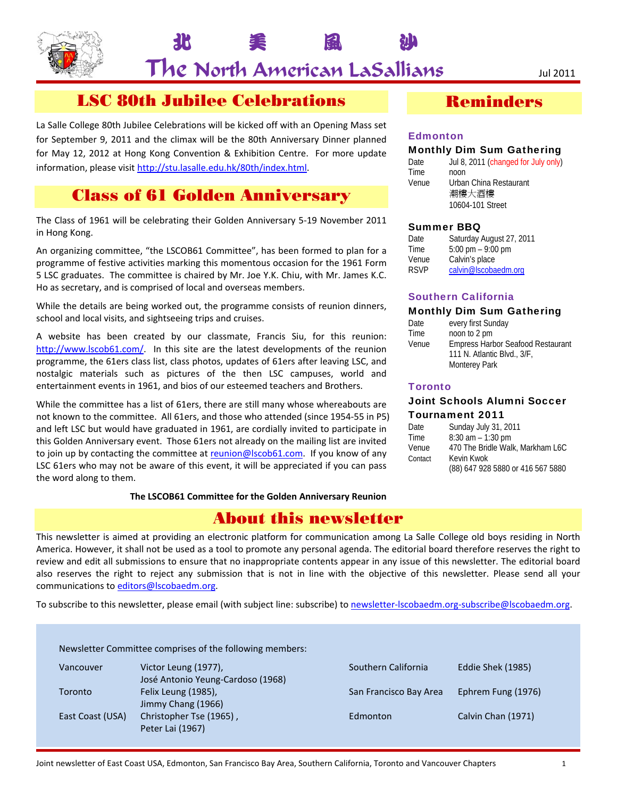

北 美 風 沙

# LSC 80th Jubilee Celebrations

La Salle College 80th Jubilee Celebrations will be kicked off with an Opening Mass set for September 9, 2011 and the climax will be the 80th Anniversary Dinner planned for May 12, 2012 at Hong Kong Convention & Exhibition Centre. For more update information, please visit http://stu.lasalle.edu.hk/80th/index.html.

# Class of 61 Golden Anniversary

The Class of 1961 will be celebrating their Golden Anniversary 5‐19 November 2011 in Hong Kong.

An organizing committee, "the LSCOB61 Committee", has been formed to plan for a programme of festive activities marking this momentous occasion for the 1961 Form 5 LSC graduates. The committee is chaired by Mr. Joe Y.K. Chiu, with Mr. James K.C. Ho as secretary, and is comprised of local and overseas members.

While the details are being worked out, the programme consists of reunion dinners, school and local visits, and sightseeing trips and cruises.

A website has been created by our classmate, Francis Siu, for this reunion: http://www.lscob61.com/. In this site are the latest developments of the reunion programme, the 61ers class list, class photos, updates of 61ers after leaving LSC, and nostalgic materials such as pictures of the then LSC campuses, world and entertainment events in 1961, and bios of our esteemed teachers and Brothers.

While the committee has a list of 61ers, there are still many whose whereabouts are not known to the committee. All 61ers, and those who attended (since 1954‐55 in P5) and left LSC but would have graduated in 1961, are cordially invited to participate in this Golden Anniversary event. Those 61ers not already on the mailing list are invited to join up by contacting the committee at reunion@lscob61.com. If you know of any LSC 61ers who may not be aware of this event, it will be appreciated if you can pass the word along to them.

**The LSCOB61 Committee for the Golden Anniversary Reunion**

## About this newsletter

This newsletter is aimed at providing an electronic platform for communication among La Salle College old boys residing in North America. However, it shall not be used as a tool to promote any personal agenda. The editorial board therefore reserves the right to review and edit all submissions to ensure that no inappropriate contents appear in any issue of this newsletter. The editorial board also reserves the right to reject any submission that is not in line with the objective of this newsletter. Please send all your communications to editors@lscobaedm.org.

To subscribe to this newsletter, please email (with subject line: subscribe) to newsletter-lscobaedm.org-subscribe@lscobaedm.org.

|                  | Newsletter Committee comprises of the following members:  |                        |                    |
|------------------|-----------------------------------------------------------|------------------------|--------------------|
| Vancouver        | Victor Leung (1977),<br>José Antonio Yeung-Cardoso (1968) | Southern California    | Eddie Shek (1985)  |
| Toronto          | Felix Leung (1985),<br>Jimmy Chang (1966)                 | San Francisco Bay Area | Ephrem Fung (1976) |
| East Coast (USA) | Christopher Tse (1965),<br>Peter Lai (1967)               | Edmonton               | Calvin Chan (1971) |

# Reminders

#### **Edmonton**

#### Monthly Dim Sum Gathering

Date Jul 8, 2011 (changed for July only) Time noon Venue Urban China Restaurant 潮樓大酒樓 10604-101 Street

#### Summer BBQ

| Date  | Saturday August 27, 2011            |
|-------|-------------------------------------|
| Time  | $5:00 \text{ pm} - 9:00 \text{ pm}$ |
| Venue | Calvin's place                      |
| RSVP  | calvin@Iscobaedm.org                |

#### Southern California

#### Monthly Dim Sum Gathering

| Date  | every first Sunday                       |
|-------|------------------------------------------|
| Time  | noon to 2 pm                             |
| Venue | <b>Empress Harbor Seafood Restaurant</b> |
|       | 111 N. Atlantic Blvd., 3/F,              |
|       | <b>Monterey Park</b>                     |

#### **Toronto**

#### Joint Schools Alumni Soccer Tournament 2011

| Date    | Sunday July 31, 2011              |
|---------|-----------------------------------|
| Time    | $8:30$ am $-1:30$ pm              |
| Venue   | 470 The Bridle Walk, Markham L6C  |
| Contact | Kevin Kwok                        |
|         | (88) 647 928 5880 or 416 567 5880 |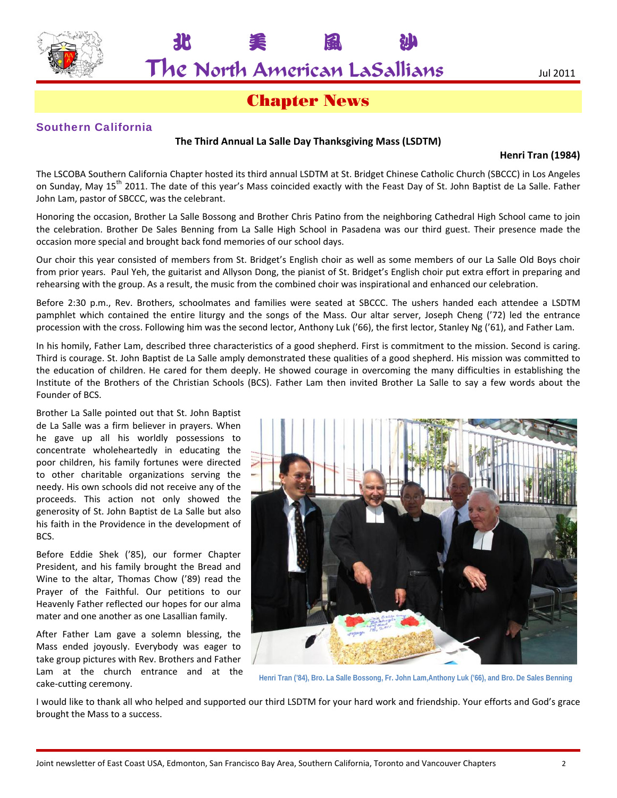

# Chapter News

### Southern California

#### **The Third Annual La Salle Day Thanksgiving Mass (LSDTM)**

#### **Henri Tran (1984)**

The LSCOBA Southern California Chapter hosted its third annual LSDTM at St. Bridget Chinese Catholic Church (SBCCC) in Los Angeles on Sunday, May 15<sup>th</sup> 2011. The date of this year's Mass coincided exactly with the Feast Day of St. John Baptist de La Salle. Father John Lam, pastor of SBCCC, was the celebrant.

Honoring the occasion, Brother La Salle Bossong and Brother Chris Patino from the neighboring Cathedral High School came to join the celebration. Brother De Sales Benning from La Salle High School in Pasadena was our third guest. Their presence made the occasion more special and brought back fond memories of our school days.

Our choir this year consisted of members from St. Bridget's English choir as well as some members of our La Salle Old Boys choir from prior years. Paul Yeh, the guitarist and Allyson Dong, the pianist of St. Bridget's English choir put extra effort in preparing and rehearsing with the group. As a result, the music from the combined choir was inspirational and enhanced our celebration.

Before 2:30 p.m., Rev. Brothers, schoolmates and families were seated at SBCCC. The ushers handed each attendee a LSDTM pamphlet which contained the entire liturgy and the songs of the Mass. Our altar server, Joseph Cheng ('72) led the entrance procession with the cross. Following him was the second lector, Anthony Luk ('66), the first lector, Stanley Ng ('61), and Father Lam.

In his homily, Father Lam, described three characteristics of a good shepherd. First is commitment to the mission. Second is caring. Third is courage. St. John Baptist de La Salle amply demonstrated these qualities of a good shepherd. His mission was committed to the education of children. He cared for them deeply. He showed courage in overcoming the many difficulties in establishing the Institute of the Brothers of the Christian Schools (BCS). Father Lam then invited Brother La Salle to say a few words about the Founder of BCS.

Brother La Salle pointed out that St. John Baptist de La Salle was a firm believer in prayers. When he gave up all his worldly possessions to concentrate wholeheartedly in educating the poor children, his family fortunes were directed to other charitable organizations serving the needy. His own schools did not receive any of the proceeds. This action not only showed the generosity of St. John Baptist de La Salle but also his faith in the Providence in the development of BCS.

Before Eddie Shek ('85), our former Chapter President, and his family brought the Bread and Wine to the altar, Thomas Chow ('89) read the Prayer of the Faithful. Our petitions to our Heavenly Father reflected our hopes for our alma mater and one another as one Lasallian family.

After Father Lam gave a solemn blessing, the Mass ended joyously. Everybody was eager to take group pictures with Rev. Brothers and Father Lam at the church entrance and at the cake‐cutting ceremony.



**Henri Tran ('84), Bro. La Salle Bossong, Fr. John Lam,Anthony Luk ('66), and Bro. De Sales Benning**

I would like to thank all who helped and supported our third LSDTM for your hard work and friendship. Your efforts and God's grace brought the Mass to a success.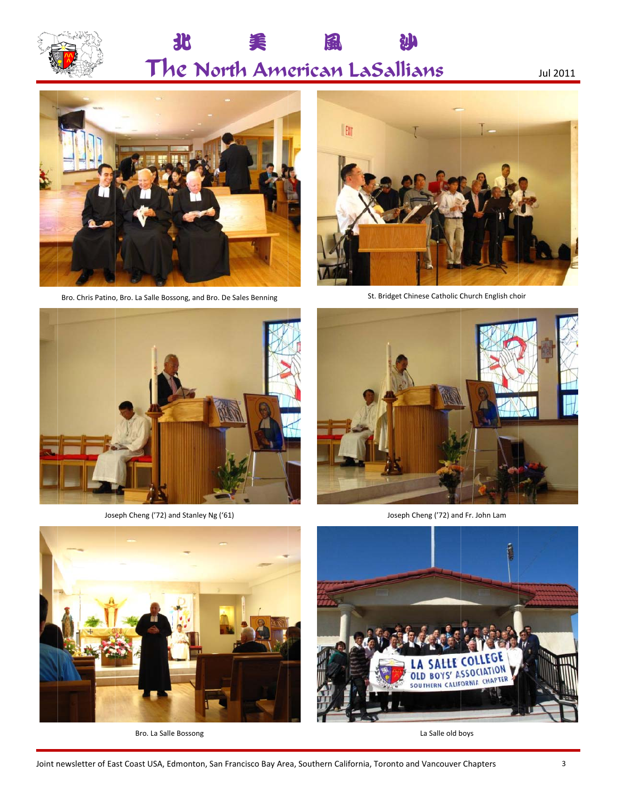

#### $\mathbf{R}$ The North American LaSallians 怎 ࢲ Ւ

Jul 2011



Bro. Chris Patino, Bro. La Salle Bossong, and Bro. De Sales Benning



St. Bridget Chinese Catholic Church English choir





Bro. La Salle Bossong



Joseph Cheng ('72) and Fr. John Lam



La Salle old b boys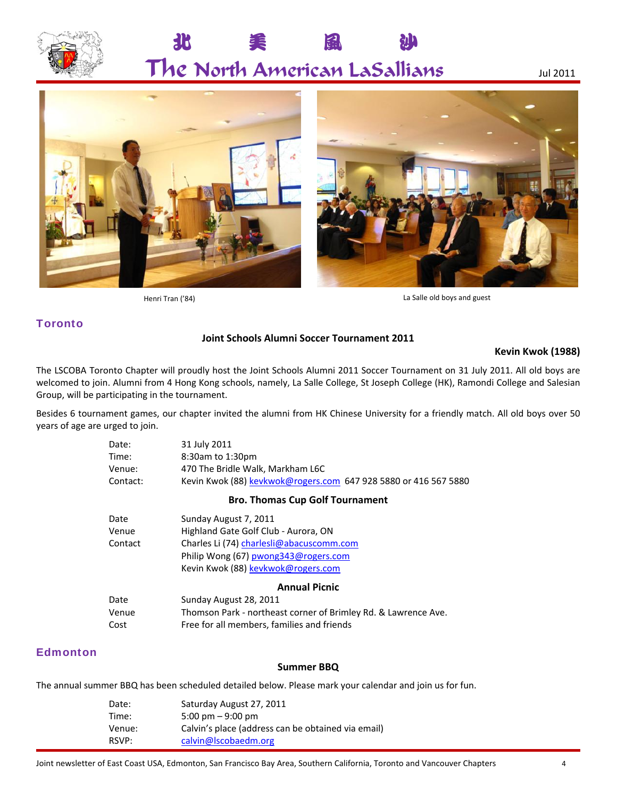

# 北 美 風 沙 The North American LaSallians Jul <sup>2011</sup>



Henri Tran ('84) **La Salle old boys and guest** 

### **Toronto**

#### **Joint Schools Alumni Soccer Tournament 2011**

#### **Kevin Kwok (1988)**

The LSCOBA Toronto Chapter will proudly host the Joint Schools Alumni 2011 Soccer Tournament on 31 July 2011. All old boys are welcomed to join. Alumni from 4 Hong Kong schools, namely, La Salle College, St Joseph College (HK), Ramondi College and Salesian Group, will be participating in the tournament.

Besides 6 tournament games, our chapter invited the alumni from HK Chinese University for a friendly match. All old boys over 50 years of age are urged to join.

| Date:<br>Time:<br>Venue:<br>Contact: | 31 July 2011<br>8:30am to 1:30pm<br>470 The Bridle Walk, Markham L6C<br>Kevin Kwok (88) kevkwok@rogers.com 647 928 5880 or 416 567 5880                                                 |
|--------------------------------------|-----------------------------------------------------------------------------------------------------------------------------------------------------------------------------------------|
|                                      | <b>Bro. Thomas Cup Golf Tournament</b>                                                                                                                                                  |
| Date<br>Venue<br>Contact             | Sunday August 7, 2011<br>Highland Gate Golf Club - Aurora, ON<br>Charles Li (74) charlesli@abacuscomm.com<br>Philip Wong (67) pwong343@rogers.com<br>Kevin Kwok (88) kevkwok@rogers.com |
|                                      | <b>Annual Picnic</b>                                                                                                                                                                    |
| Date<br>Venue<br>Cost                | Sunday August 28, 2011<br>Thomson Park - northeast corner of Brimley Rd. & Lawrence Ave.<br>Free for all members, families and friends                                                  |

#### **Edmonton**

#### **Summer BBQ**

The annual summer BBQ has been scheduled detailed below. Please mark your calendar and join us for fun.

| Date:  | Saturday August 27, 2011                           |
|--------|----------------------------------------------------|
| Time:  | $5:00 \text{ pm} - 9:00 \text{ pm}$                |
| Venue: | Calvin's place (address can be obtained via email) |
| RSVP:  | calvin@lscobaedm.org                               |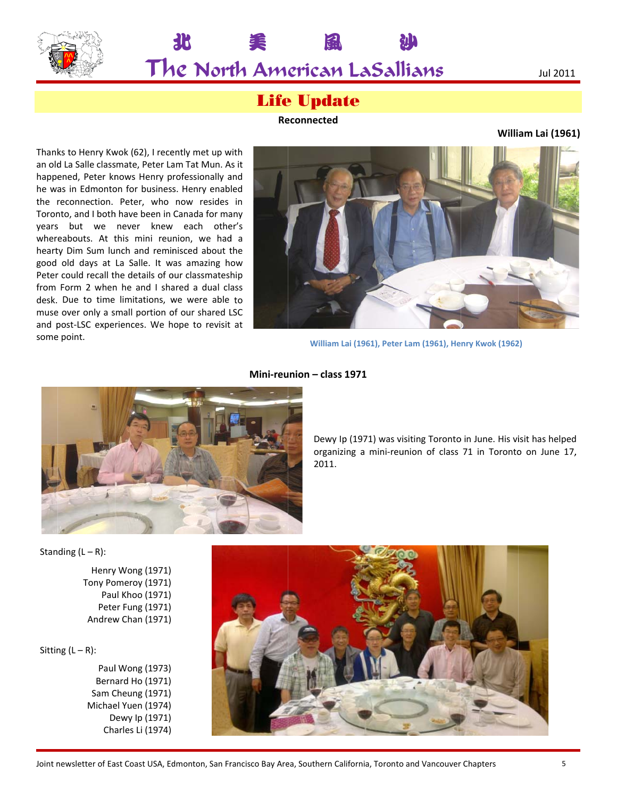

美

#### Jul 2011

# **Life Update**

風

**Re econnected**

### **Willi am Lai (1961 1)**

Thanks to Henry Kwok (62), I recently met up with an old La Salle classmate, Peter Lam Tat Mun. As it happened, Peter knows Henry professionally and he was in Edmonton for business. Henry enabled the r reconnection. Peter, who now resides in Toronto, and I both have been in Canada for many years but we never knew each other's whereabouts. At this mini reunion, we had a hearty Dim Sum lunch and reminisced about the good old days at La Salle. It w as amazing h ow Peter could recall the details of our classmateship from Form 2 when he and I shared a dual class desk. Due to time limitations, w we were able to muse over only a small portion of our shared LSC and p post‐LSC expe riences. We h ope to revisit at some point.

Δ



Ւ

**William La ai (1961), Peter Lam (1961), He nry Kwok (1962 2)**



#### **Mini‐reu union – class 1 1971**

Dewy Ip (1971) was visiting Toronto in June. His visit has helped organizing a mini-reunion of class 71 in Toronto on June 17, 2011.

Stan ding (L – R):

Henry y Wong (1971) Tony Pomeroy (1971) Paul Khoo (1971) Peter Fung (1971) Andrew w Chan (1971)

Sitting (L – R):

Paul l Wong (1973) Bern ard Ho (1971) Sam C Cheung (1971) Michael Yuen (1974) D Dewy Ip (1971) Charles Li (1974)

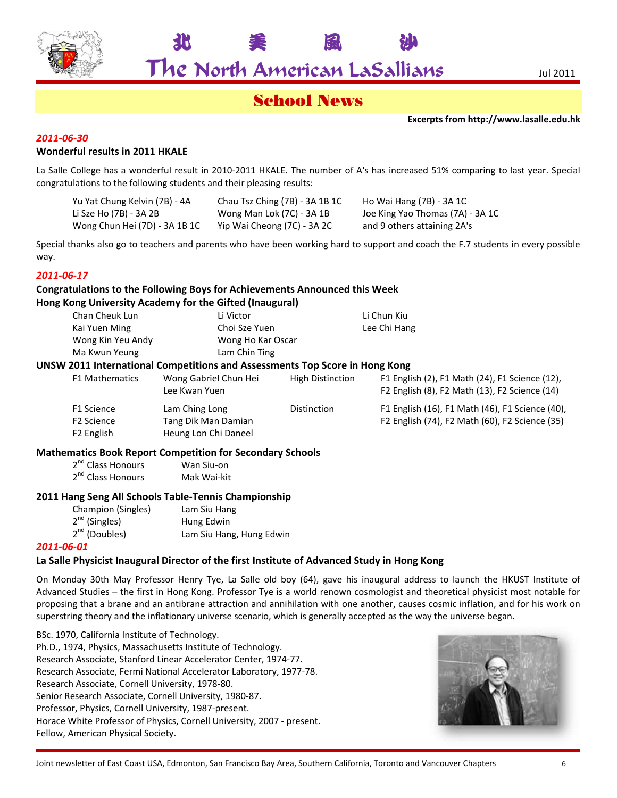

北 美 風 沙

# School News

**Excerpts from http://www.lasalle.edu.hk**

#### *2011‐06‐30*

#### **Wonderful results in 2011 HKALE**

La Salle College has a wonderful result in 2010-2011 HKALE. The number of A's has increased 51% comparing to last year. Special congratulations to the following students and their pleasing results:

| Yu Yat Chung Kelvin (7B) - 4A | Chau Tsz Ching (7B) - 3A 1B 1C | Ho Wai Hang (7B) - 3A 1C         |
|-------------------------------|--------------------------------|----------------------------------|
| Li Sze Ho (7B) - 3A 2B        | Wong Man Lok (7C) - 3A 1B      | Joe King Yao Thomas (7A) - 3A 1C |
| Wong Chun Hei (7D) - 3A 1B 1C | Yip Wai Cheong (7C) - 3A 2C    | and 9 others attaining 2A's      |

Special thanks also go to teachers and parents who have been working hard to support and coach the F.7 students in every possible way.

#### *2011‐06‐17*

# **Congratulations to the Following Boys for Achievements Announced this Week**

#### **Hong Kong University Academy for the Gifted (Inaugural)**

| Chan Cheuk Lun              | Li Victor                                                                   |                         | Li Chun Kiu                                                                                     |
|-----------------------------|-----------------------------------------------------------------------------|-------------------------|-------------------------------------------------------------------------------------------------|
| Kai Yuen Ming               | Choi Sze Yuen                                                               |                         | Lee Chi Hang                                                                                    |
| Wong Kin Yeu Andy           | Wong Ho Kar Oscar                                                           |                         |                                                                                                 |
| Ma Kwun Yeung               | Lam Chin Ting                                                               |                         |                                                                                                 |
|                             | UNSW 2011 International Competitions and Assessments Top Score in Hong Kong |                         |                                                                                                 |
| <b>F1 Mathematics</b>       | Wong Gabriel Chun Hei<br>Lee Kwan Yuen                                      | <b>High Distinction</b> | F1 English (2), F1 Math (24), F1 Science (12),<br>F2 English (8), F2 Math (13), F2 Science (14) |
| F1 Science                  | Lam Ching Long                                                              | <b>Distinction</b>      | F1 English (16), F1 Math (46), F1 Science (40),                                                 |
| F <sub>2</sub> Science      | Tang Dik Man Damian                                                         |                         | F2 English (74), F2 Math (60), F2 Science (35)                                                  |
| F <sub>2</sub> English      | Heung Lon Chi Daneel                                                        |                         |                                                                                                 |
| $. \, \text{m}$ $. \, . \,$ | <b>Mathematics Book Report Competition for Secondary Schools</b>            |                         |                                                                                                 |

2<sup>nd</sup> Class Honours Wan Siu-on 2<sup>nd</sup> Class Honours Mak Wai-kit

#### **2011 Hang Seng All Schools Table‐Tennis Championship**

| Champion (Singles) | Lam Siu Hang             |
|--------------------|--------------------------|
| $2^{nd}$ (Singles) | Hung Edwin               |
| $2^{nd}$ (Doubles) | Lam Siu Hang, Hung Edwin |

#### *2011‐06‐01*

#### **La Salle Physicist Inaugural Director of the first Institute of Advanced Study in Hong Kong**

On Monday 30th May Professor Henry Tye, La Salle old boy (64), gave his inaugural address to launch the HKUST Institute of Advanced Studies – the first in Hong Kong. Professor Tye is a world renown cosmologist and theoretical physicist most notable for proposing that a brane and an antibrane attraction and annihilation with one another, causes cosmic inflation, and for his work on superstring theory and the inflationary universe scenario, which is generally accepted as the way the universe began.

BSc. 1970, California Institute of Technology. Ph.D., 1974, Physics, Massachusetts Institute of Technology. Research Associate, Stanford Linear Accelerator Center, 1974‐77. Research Associate, Fermi National Accelerator Laboratory, 1977‐78. Research Associate, Cornell University, 1978‐80. Senior Research Associate, Cornell University, 1980‐87. Professor, Physics, Cornell University, 1987‐present. Horace White Professor of Physics, Cornell University, 2007 ‐ present. Fellow, American Physical Society.

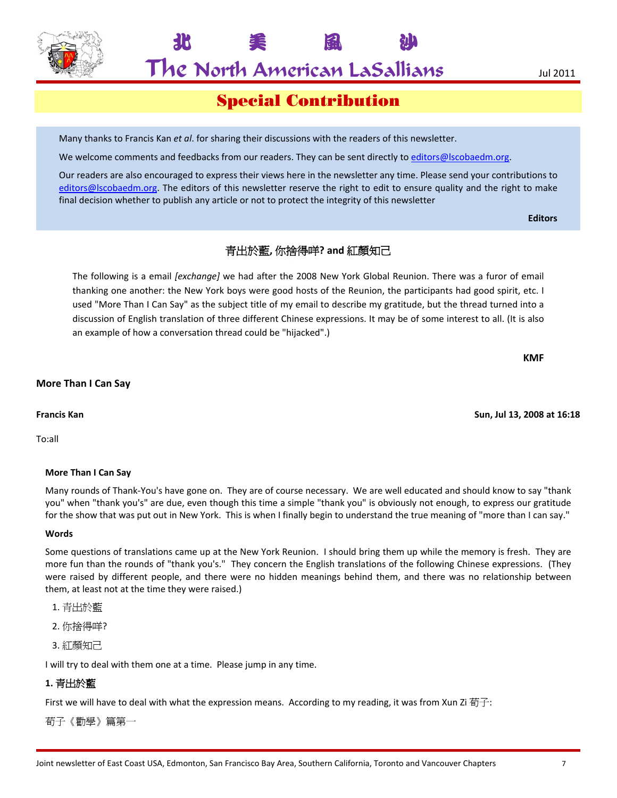

北 美 風 沙

Special Contribution

Many thanks to Francis Kan *et al*. for sharing their discussions with the readers of this newsletter.

We welcome comments and feedbacks from our readers. They can be sent directly to editors@lscobaedm.org.

Our readers are also encouraged to express their views here in the newsletter any time. Please send your contributions to editors@lscobaedm.org. The editors of this newsletter reserve the right to edit to ensure quality and the right to make final decision whether to publish any article or not to protect the integrity of this newsletter

**Editors**

## 青出於藍**,** 你捨得咩**? and** 紅顏知己

The following is a email *[exchange]* we had after the 2008 New York Global Reunion. There was a furor of email thanking one another: the New York boys were good hosts of the Reunion, the participants had good spirit, etc. I used "More Than I Can Say" as the subject title of my email to describe my gratitude, but the thread turned into a discussion of English translation of three different Chinese expressions. It may be of some interest to all. (It is also an example of how a conversation thread could be "hijacked".)

**KMF**

#### **More Than I Can Say**

#### **Francis Kan Sun, Jul 13, 2008 at 16:18**

To:all

#### **More Than I Can Say**

Many rounds of Thank‐You's have gone on. They are of course necessary. We are well educated and should know to say "thank you" when "thank you's" are due, even though this time a simple "thank you" is obviously not enough, to express our gratitude for the show that was put out in New York. This is when I finally begin to understand the true meaning of "more than I can say."

#### **Words**

Some questions of translations came up at the New York Reunion. I should bring them up while the memory is fresh. They are more fun than the rounds of "thank you's." They concern the English translations of the following Chinese expressions. (They were raised by different people, and there were no hidden meanings behind them, and there was no relationship between them, at least not at the time they were raised.)

- 1. 青出於藍
- 2. 你捨得咩?
- 3. 紅顏知己

I will try to deal with them one at a time. Please jump in any time.

#### **1.** 青出於藍

First we will have to deal with what the expression means. According to my reading, it was from Xun Zi 荀子:

荀子《勸學》篇第一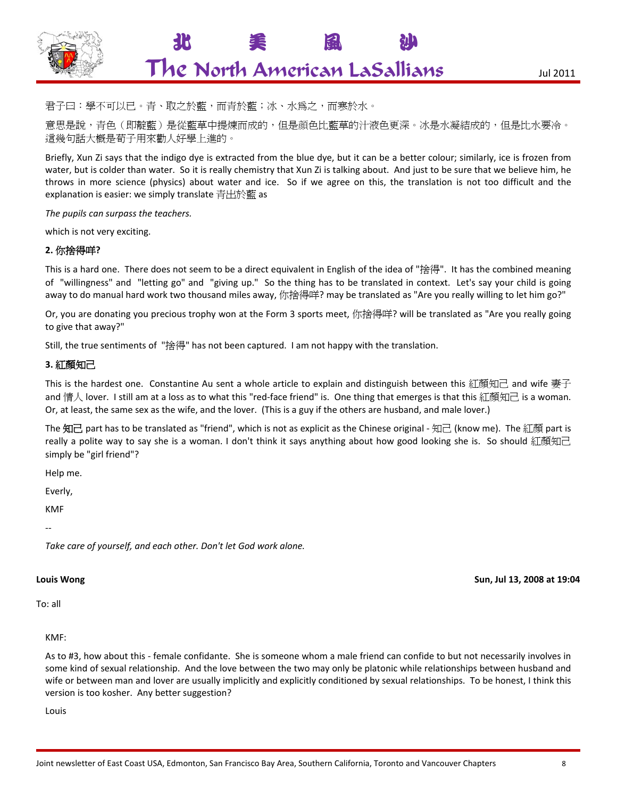

君子曰:學不可以已。青、取之於藍,而青於藍;冰、水爲之,而寒於水。

意思是說,青色(即靛藍)是從藍草中提煉而成的,但是顔色比藍草的汁液色更深。冰是水凝結成的,但是比水要冷。 這幾句話大概是荀子用來勸人好學上進的。

Briefly, Xun Zi says that the indigo dye is extracted from the blue dye, but it can be a better colour; similarly, ice is frozen from water, but is colder than water. So it is really chemistry that Xun Zi is talking about. And just to be sure that we believe him, he throws in more science (physics) about water and ice. So if we agree on this, the translation is not too difficult and the explanation is easier: we simply translate 青出於藍 as

*The pupils can surpass the teachers.*

which is not very exciting.

#### **2.** 你捨得咩**?**

This is a hard one. There does not seem to be a direct equivalent in English of the idea of "捨得". It has the combined meaning of "willingness" and "letting go" and "giving up." So the thing has to be translated in context. Let's say your child is going away to do manual hard work two thousand miles away, 你捨得咩? may be translated as "Are you really willing to let him go?"

Or, you are donating you precious trophy won at the Form 3 sports meet, 你捨得咩? will be translated as "Are you really going to give that away?"

Still, the true sentiments of "捨得" has not been captured. I am not happy with the translation.

#### **3.** 紅顏知己

This is the hardest one. Constantine Au sent a whole article to explain and distinguish between this 紅顏知己 and wife 妻子 and 情人 lover. I still am at a loss as to what this "red-face friend" is. One thing that emerges is that this 紅顏知己 is a woman. Or, at least, the same sex as the wife, and the lover. (This is a guy if the others are husband, and male lover.)

The 知己 part has to be translated as "friend", which is not as explicit as the Chinese original - 知己 (know me). The 紅顏 part is really a polite way to say she is a woman. I don't think it says anything about how good looking she is. So should 紅顏知己 simply be "girl friend"?

Help me.

Everly,

KMF

‐‐

*Take care of yourself, and each other. Don't let God work alone.* 

To: all

#### KMF:

As to #3, how about this ‐ female confidante. She is someone whom a male friend can confide to but not necessarily involves in some kind of sexual relationship. And the love between the two may only be platonic while relationships between husband and wife or between man and lover are usually implicitly and explicitly conditioned by sexual relationships. To be honest, I think this version is too kosher. Any better suggestion?

Louis

#### **Louis Wong Sun, Jul 13, 2008 at 19:04**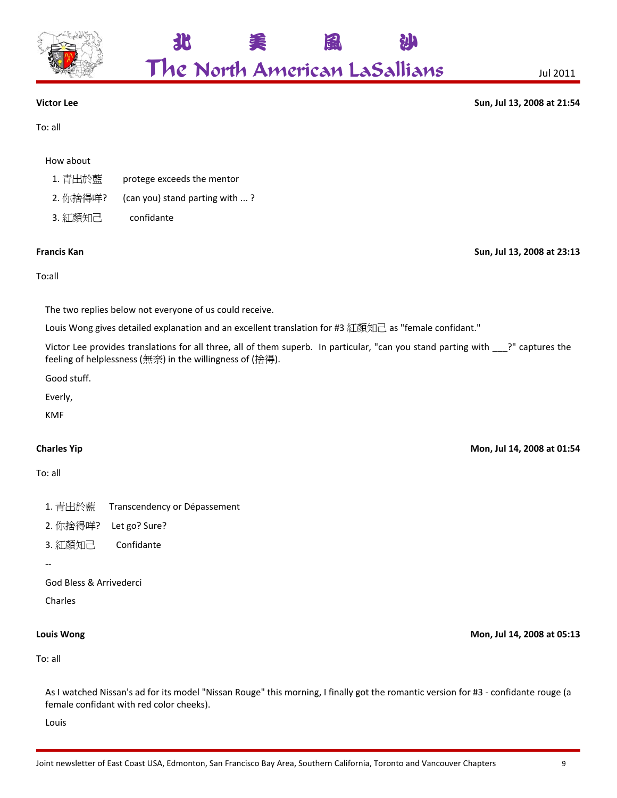

To: all

**Victor Lee Sun, Jul 13, 2008 at 21:54**

#### How about

- 1. 青出於藍 protege exceeds the mentor
- 2. 你捨得咩? (can you) stand parting with ...?
- 3. 紅顏知己 confidante

#### **Francis Kan Sun, Jul 13, 2008 at 23:13**

#### To:all

The two replies below not everyone of us could receive.

Louis Wong gives detailed explanation and an excellent translation for #3 紅顏知己 as "female confidant."

Victor Lee provides translations for all three, all of them superb. In particular, "can you stand parting with \_\_\_?" captures the feeling of helplessness (無奈) in the willingness of (捨得).

北 美 風 沙

The North American LaSallians Jul <sup>2011</sup>

Good stuff.

KMF

### To: all

- 1. 青出於藍 Transcendency or Dépassement
- 2. 你捨得咩? Let go? Sure?
- 3. 紅顏知己 Confidante
- ‐‐

God Bless & Arrivederci

Charles

To: all

As I watched Nissan's ad for its model "Nissan Rouge" this morning, I finally got the romantic version for #3 ‐ confidante rouge (a female confidant with red color cheeks).

Louis

Everly,

**Charles Yip Mon, Jul 14, 2008 at 01:54**

**Louis Wong Mon, Jul 14, 2008 at 05:13**